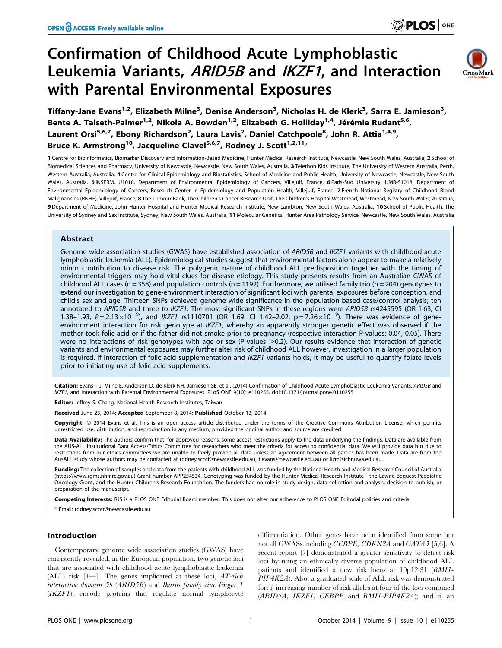# Confirmation of Childhood Acute Lymphoblastic Leukemia Variants, ARID5B and IKZF1, and Interaction with Parental Environmental Exposures



Tiffany-Jane Evans<sup>1,2</sup>, Elizabeth Milne<sup>3</sup>, Denise Anderson<sup>3</sup>, Nicholas H. de Klerk<sup>3</sup>, Sarra E. Jamieson<sup>3</sup>, Bente A. Talseth-Palmer<sup>1,2</sup>, Nikola A. Bowden<sup>1,2</sup>, Elizabeth G. Holliday<sup>1,4</sup>, Jérémie Rudant<sup>5,6</sup>, Laurent Orsi<sup>5,6,7</sup>, Ebony Richardson<sup>2</sup>, Laura Lavis<sup>2</sup>, Daniel Catchpoole<sup>8</sup>, John R. Attia<sup>1,4,9</sup>, Bruce K. Armstrong<sup>10</sup>, Jacqueline Clavel<sup>5,6,7</sup>, Rodney J. Scott<sup>1,2,11</sup>\*

1 Centre for Bioinformatics, Biomarker Discovery and Information-Based Medicine, Hunter Medical Research Institute, Newcastle, New South Wales, Australia, 2 School of Biomedical Sciences and Pharmacy, University of Newcastle, Newcastle, New South Wales, Australia, 3 Telethon Kids Institute, The University of Western Australia, Perth, Western Australia, Australia, 4 Centre for Clinical Epidemiology and Biostatistics, School of Medicine and Public Health, University of Newcastle, Newcastle, New South Wales, Australia, 5 INSERM, U1018, Department of Environmental Epidemiology of Cancers, Villejuif, France, 6 Paris-Sud University, UMR-S1018, Department of Environmental Epidemiology of Cancers, Research Center in Epidemiology and Population Health, Villejuif, France, 7 French National Registry of Childhood Blood Malignancies (RNHE), Villejuif, France, 8 The Tumour Bank, The Children's Cancer Research Unit, The Children's Hospital Westmead, Westmead, New South Wales, Australia, 9 Department of Medicine, John Hunter Hospital and Hunter Medical Research Institute, New Lambton, New South Wales, Australia, 10 School of Public Health, The University of Sydney and Sax Institute, Sydney, New South Wales, Australia, 11 Molecular Genetics, Hunter Area Pathology Service, Newcastle, New South Wales, Australia

# Abstract

Genome wide association studies (GWAS) have established association of ARID5B and IKZF1 variants with childhood acute lymphoblastic leukemia (ALL). Epidemiological studies suggest that environmental factors alone appear to make a relatively minor contribution to disease risk. The polygenic nature of childhood ALL predisposition together with the timing of environmental triggers may hold vital clues for disease etiology. This study presents results from an Australian GWAS of childhood ALL cases (n = 358) and population controls (n = 1192). Furthermore, we utilised family trio (n = 204) genotypes to extend our investigation to gene-environment interaction of significant loci with parental exposures before conception, and child's sex and age. Thirteen SNPs achieved genome wide significance in the population based case/control analysis; ten annotated to ARID5B and three to IKZF1. The most significant SNPs in these regions were ARID5B rs4245595 (OR 1.63, CI 1.38-1.93,  $P = 2.13 \times 10^{-9}$ ), and IKZF1 rs1110701 (OR 1.69, CI 1.42-2.02,  $p = 7.26 \times 10^{-9}$ ). There was evidence of geneenvironment interaction for risk genotype at IKZF1, whereby an apparently stronger genetic effect was observed if the mother took folic acid or if the father did not smoke prior to pregnancy (respective interaction P-values: 0.04, 0.05). There were no interactions of risk genotypes with age or sex (P-values  $>0.2$ ). Our results evidence that interaction of genetic variants and environmental exposures may further alter risk of childhood ALL however, investigation in a larger population is required. If interaction of folic acid supplementation and IKZF1 variants holds, it may be useful to quantify folate levels prior to initiating use of folic acid supplements.

Citation: Evans T-J, Milne E, Anderson D, de Klerk NH, Jamieson SE, et al. (2014) Confirmation of Childhood Acute Lymphoblastic Leukemia Variants, ARID5B and IKZF1, and Interaction with Parental Environmental Exposures. PLoS ONE 9(10): e110255. doi:10.1371/journal.pone.0110255

Editor: Jeffrey S. Chang, National Health Research Institutes, Taiwan

Received June 25, 2014; Accepted September 8, 2014; Published October 13, 2014

Copyright: © 2014 Evans et al. This is an open-access article distributed under the terms of the [Creative Commons Attribution License](http://creativecommons.org/licenses/by/4.0/), which permits unrestricted use, distribution, and reproduction in any medium, provided the original author and source are credited.

Data Availability: The authors confirm that, for approved reasons, some access restrictions apply to the data underlying the findings. Data are available from the AUS-ALL Institutional Data Access/Ethics Committee for researchers who meet the criteria for access to confidential data. We will provide data but due to restrictions from our ethics committees we are unable to freely provide all data unless an agreement between all parties has been made. Data are from the AusALL study whose authors may be contacted at [rodney.scott@newcastle.edu.au,](rodney.scott@newcastle.edu.au) t.evans@newcastle.edu.au or lizm@ichr.uwa.edu.au.

Funding: The collection of samples and data from the patients with childhood ALL was funded by the National Health and Medical Research Council of Australia [\(https://www.rgms.nhmrc.gov.au](https://www.rgms.nhmrc.gov.au)) Grant number APP254534. Genotyping was funded by the Hunter Medical Research Institute - the Lawrie Bequest Paediatric Oncology Grant, and the Hunter Children's Research Foundation. The funders had no role in study design, data collection and analysis, decision to publish, or preparation of the manuscript.

Competing Interests: RJS is a PLOS ONE Editorial Board member. This does not alter our adherence to PLOS ONE Editorial policies and criteria.

Email: rodney.scott@newcastle.edu.au

# Introduction

Contemporary genome wide association studies (GWAS) have consistently revealed, in the European population, two genetic loci that are associated with childhood acute lymphoblastic leukemia (ALL) risk  $[1-4]$ . The genes implicated at these loci, AT-rich interactive domain 5b (ARID5B) and Ikaros family zinc finger 1 (IKZF1), encode proteins that regulate normal lymphocyte

differentiation. Other genes have been identified from some but not all GWASs including CEBPE, CDKN2A and GATA3 [5,6]. A recent report [7] demonstrated a greater sensitivity to detect risk loci by using an ethnically diverse population of childhood ALL patients and identified a new risk locus at 10p12.31 (BMI1- PIP4K2A). Also, a graduated scale of ALL risk was demonstrated for: i) increasing number of risk alleles at four of the loci combined  $(ARID5A, IKZF1, CEBPE and BMI-PIP4K2A);$  and ii) an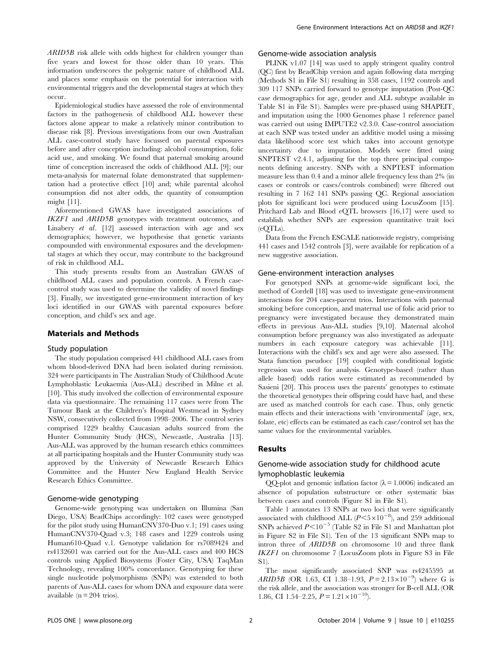ARID5B risk allele with odds highest for children younger than five years and lowest for those older than 10 years. This information underscores the polygenic nature of childhood ALL and places some emphasis on the potential for interaction with environmental triggers and the developmental stages at which they occur.

Epidemiological studies have assessed the role of environmental factors in the pathogenesis of childhood ALL however these factors alone appear to make a relatively minor contribution to disease risk [8]. Previous investigations from our own Australian ALL case-control study have focussed on parental exposures before and after conception including: alcohol consumption, folic acid use, and smoking. We found that paternal smoking around time of conception increased the odds of childhood ALL [9]; our meta-analysis for maternal folate demonstrated that supplementation had a protective effect [10] and; while parental alcohol consumption did not alter odds, the quantity of consumption might [11].

Aforementioned GWAS have investigated associations of IKZF1 and ARID5B genotypes with treatment outcomes, and Linabery et al. [12] assessed interaction with age and sex demographics; however, we hypothesise that genetic variants compounded with environmental exposures and the developmental stages at which they occur, may contribute to the background of risk in childhood ALL.

This study presents results from an Australian GWAS of childhood ALL cases and population controls. A French casecontrol study was used to determine the validity of novel findings [3]. Finally, we investigated gene-environment interaction of key loci identified in our GWAS with parental exposures before conception, and child's sex and age.

## Materials and Methods

## Study population

The study population comprised 441 childhood ALL cases from whom blood-derived DNA had been isolated during remission. 324 were participants in The Australian Study of Childhood Acute Lymphoblastic Leukaemia (Aus-ALL) described in Milne et al. [10]. This study involved the collection of environmental exposure data via questionnaire. The remaining 117 cases were from The Tumour Bank at the Children's Hospital Westmead in Sydney NSW, consecutively collected from 1998–2006. The control series comprised 1229 healthy Caucasian adults sourced from the Hunter Community Study (HCS), Newcastle, Australia [13]. Aus-ALL was approved by the human research ethics committees at all participating hospitals and the Hunter Community study was approved by the University of Newcastle Research Ethics Committee and the Hunter New England Health Service Research Ethics Committee.

#### Genome-wide genotyping

Genome-wide genotyping was undertaken on Illumina (San Diego, USA) BeadChips accordingly: 102 cases were genotyped for the pilot study using HumanCNV370-Duo v.1; 191 cases using HumanCNV370-Quad v.3; 148 cases and 1229 controls using Human610-Quad v.1. Genotype validation for rs7089424 and rs4132601 was carried out for the Aus-ALL cases and 400 HCS controls using Applied Biosystems (Foster City, USA) TaqMan Technology, revealing 100% concordance. Genotyping for these single nucleotide polymorphisms (SNPs) was extended to both parents of Aus-ALL cases for whom DNA and exposure data were available ( $n = 204$  trios).

## Genome-wide association analysis

PLINK v1.07 [14] was used to apply stringent quality control (QC) first by BeadChip version and again following data merging (Methods S1 in File S1) resulting in 358 cases, 1192 controls and 309 117 SNPs carried forward to genotype imputation (Post-QC case demographics for age, gender and ALL subtype available in Table S1 in File S1). Samples were pre-phased using SHAPEIT, and imputation using the 1000 Genomes phase 1 reference panel was carried out using IMPUTE2 v2.3.0. Case-control association at each SNP was tested under an additive model using a missing data likelihood score test which takes into account genotype uncertainty due to imputation. Models were fitted using SNPTEST v2.4.1, adjusting for the top three principal components defining ancestry. SNPs with a SNPTEST information measure less than 0.4 and a minor allele frequency less than 2% (in cases or controls or cases/controls combined) were filtered out resulting in 7 162 141 SNPs passing QC. Regional association plots for significant loci were produced using LocusZoom [15]. Pritchard Lab and Blood eQTL browsers [16,17] were used to establish whether SNPs are expression quantitative trait loci (eQTLs).

Data from the French ESCALE nationwide registry, comprising 441 cases and 1542 controls [3], were available for replication of a new suggestive association.

### Gene-environment interaction analyses

For genotyped SNPs at genome-wide significant loci, the method of Cordell [18] was used to investigate gene-environment interactions for 204 cases-parent trios. Interactions with paternal smoking before conception, and maternal use of folic acid prior to pregnancy were investigated because they demonstrated main effects in previous Aus-ALL studies [9,10]. Maternal alcohol consumption before pregnancy was also investigated as adequate numbers in each exposure category was achievable [11]. Interactions with the child's sex and age were also assessed. The Stata function pseudocc [19] coupled with conditional logistic regression was used for analysis. Genotype-based (rather than allele based) odds ratios were estimated as recommended by Sasieni [20]. This process uses the parents' genotypes to estimate the theoretical genotypes their offspring could have had, and these are used as matched controls for each case. Thus, only genetic main effects and their interactions with 'environmental' (age, sex, folate, etc) effects can be estimated as each case/control set has the same values for the environmental variables.

#### Results

# Genome-wide association study for childhood acute lymophoblastic leukemia

QQ-plot and genomic inflation factor ( $\lambda$  = 1.0006) indicated an absence of population substructure or other systematic bias between cases and controls (Figure S1 in File S1).

Table 1 annotates 13 SNPs at two loci that were significantly associated with childhood ALL  $(P<5\times10^{-8})$ , and 259 additional SNPs achieved  $P<10^{-5}$  (Table S2 in File S1 and Manhattan plot in Figure S2 in File S1). Ten of the 13 significant SNPs map to intron three of ARID5B on chromosome 10 and three flank IKZF1 on chromosome 7 (LocusZoom plots in Figure S3 in File  $S1$ 

The most significantly associated SNP was rs4245595 at ARID5B (OR 1.63, CI 1.38–1.93,  $P = 2.13 \times 10^{-9}$ ) where G is the risk allele, and the association was stronger for B-cell ALL (OR 1.86, CI 1.54–2.25,  $P = 1.21 \times 10^{-10}$ .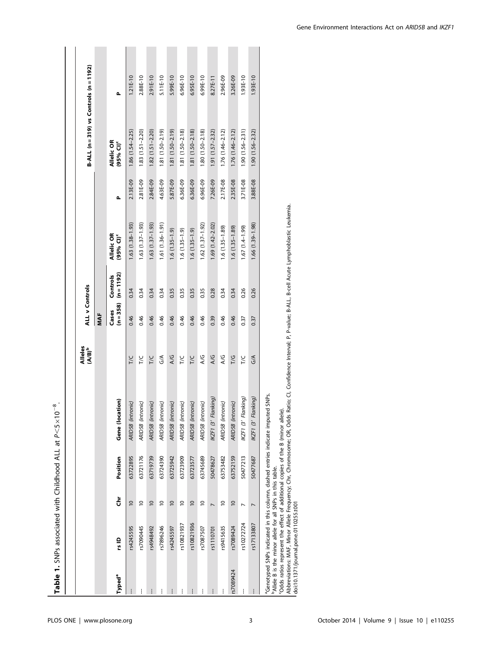**Table 1.** SNPs associated with Childhood ALL at  $P \leq 5 \times 10^{-8}$ .

|                    |                                                                       |                 |          |                                                                                             | Alleles<br>(A/B) <sup>b</sup> | <b>ALL v Controls</b> |                          |                                     |          | B-ALL $(n=319)$ vs Controls $(n=1192)$ |            |
|--------------------|-----------------------------------------------------------------------|-----------------|----------|---------------------------------------------------------------------------------------------|-------------------------------|-----------------------|--------------------------|-------------------------------------|----------|----------------------------------------|------------|
|                    |                                                                       |                 |          |                                                                                             |                               | MAF                   |                          |                                     |          |                                        |            |
| Typed <sup>a</sup> | rs ID                                                                 | š               | Position | Gene (location)                                                                             |                               | $(n = 358)$<br>Cases  | $(n = 1192)$<br>Controls | Allelic OR<br>(95% CI) <sup>c</sup> | Δ        | Allelic OR<br>(95% CI) <sup>c</sup>    | Δ          |
|                    | rs4245595                                                             | $\overline{0}$  | 63722895 | ARID5B (intronic)                                                                           | <b>T/C</b>                    | 0.46                  | 0.34                     | $1.63(1.38 - 1.93)$                 | 2.13E-09 | $1.86(1.54 - 2.25)$                    | $1.21E-10$ |
| ļ                  | rs7090445                                                             | $\overline{0}$  | 63721176 | ARID5B (intronic)                                                                           | TΣ                            | 0.46                  | 0.34                     | 1.63 (1.37-1.93)                    | 2.81E-09 | $1.83(1.51 - 2.20)$                    | 2.88E-10   |
|                    | rs4948492                                                             | $\overline{0}$  | 63719739 | ARID5B (intronic)                                                                           | <b>T/C</b>                    | 0.46                  | 0.34                     | $1.63(1.37-1.93)$                   | 2.84E-09 | $1.82(1.51 - 2.20)$                    | 2.91E-10   |
|                    | rs7896246                                                             | $\overline{0}$  | 63724390 | ARID5B (intronic)                                                                           | $\frac{1}{5}$                 | 0.46                  | 0.34                     | $1.61(1.36 - 1.91)$                 | 4.63E-09 | $1.81(1.50 - 2.19)$                    | 5.11E-10   |
|                    | rs4245597                                                             | $\overline{0}$  | 63725942 | ARID5B (intronic)                                                                           | A/G                           | 0.46                  | 0.35                     | $1.6(1.35-1.9)$                     | 5.87E-09 | $1.81(1.50 - 2.19)$                    | 5.99E-10   |
| ļ                  | rs10821937                                                            | $\approx$       | 63723909 | ARID5B (intronic)                                                                           | TΙC                           | 0.46                  | 0.35                     | $1.6(1.35-1.9)$                     | 6.36E-09 | $1.81(1.50 - 2.18)$                    | $6.96E-10$ |
| ļ                  | rs10821936                                                            | $\overline{0}$  | 63723577 | ARID5B (intronic)                                                                           | <b>T/C</b>                    | 0.46                  | 0.35                     | $1.6(1.35-1.9)$                     | 6.36E-09 | $1.81(1.50 - 2.18)$                    | $6.95E-10$ |
|                    | rs7087507                                                             | $\overline{C}$  | 63745689 | ARID5B (intronic)                                                                           | A/G                           | 0.46                  | 0.35                     | $1.62$ $(1.37 - 1.92)$              | 6.96E-09 | $1.80(1.50 - 2.18)$                    | $6.99E-10$ |
|                    | rs1110701                                                             |                 | 50478627 | Flanking)<br>IKZF1 (3'                                                                      | A/G                           | 0.39                  | 0.28                     | 1.69 (1.42-2.02)                    | 7.26E-09 | $1.91(1.57 - 2.32)$                    | 8.27E-11   |
|                    | rs9415635                                                             | $\overline{10}$ | 63753482 | ARID5B (intronic)                                                                           | ΑG                            | 0.46                  | 0.34                     | $.6(1.35-1.89)$                     | 2.17E-08 | $1.76(1.46 - 2.12)$                    | 2.96E-09   |
| rs7089424          | rs7089424                                                             | $\overline{0}$  | 63752159 | ARID5B (intronic)                                                                           | T/G                           | 0.46                  | 0.34                     | $1.6(1.35-1.89)$                    | 2.35E-08 | $1.76(1.46 - 2.12)$                    | 3.26E-09   |
|                    | rs10272724                                                            |                 | 50477213 | Flanking)<br>IKZF1 (3'                                                                      | TΙC                           | 0.37                  | 0.26                     | $1.67(1.4-1.99)$                    | 3.71E-08 | $1.90(1.56 - 2.31)$                    | 1.93E-10   |
|                    | rs17133807                                                            | $\overline{a}$  | 50477687 | Flanking)<br>IKZF1 (3'                                                                      | $\frac{1}{2}$                 | 0.37                  | 0.26                     | 1.66 (1.39-1.98)                    | 3.88E-08 | $1.90(1.56 - 2.32)$                    | 1.93E-10   |
|                    | <sup>b</sup> Allele B is the minor allele for all SNPs in this table. |                 |          | <sup>a</sup> Genotyped SNPs indicated in this column, dashed entries indicate imputed SNPs. |                               |                       |                          |                                     |          |                                        |            |

cOdds ratios represent the effect of additional copies of the B (minor allele).

'Odds ratios represent the effect of additional copies of the B (minor allele).<br>Abbreviations: MAF, Minor Allele Frequency; Chr, Chromosome; OR, Odds Ratio; CI, Confidence Interval; P, P-value; B-ALL, B-cell Acute Lymphobl Abbreviations: MAF, Minor Allele Frequency; Chr, Chromosome; OR, Odds Ratio; CI, Confidence Interval; P, P-value; B-ALL, B-cell Acute Lymphoblastic Leukemia.

doi:10.1371/journal.pone.0110255.t001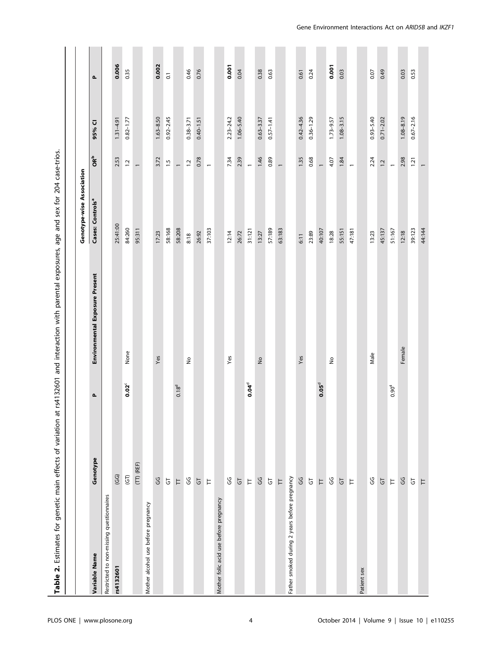|                                               |                                |                   | Table 2. Estimates for genetic main effects of variation at rs4132601 and interaction with parental exposures, age and sex for 204 case-trios. |                              |                          |               |                    |
|-----------------------------------------------|--------------------------------|-------------------|------------------------------------------------------------------------------------------------------------------------------------------------|------------------------------|--------------------------|---------------|--------------------|
|                                               |                                |                   |                                                                                                                                                | Genotype-wise Association    |                          |               |                    |
| Variable Name                                 | Genotype                       | Δ.                | Environmental Exposure Present                                                                                                                 | Cases: Controls <sup>a</sup> | <b>OR</b> <sup>b</sup>   | 95% CI        | $\mathbf{a}$       |
| Restricted to non-missing questionnaires      |                                |                   |                                                                                                                                                |                              |                          |               |                    |
| rs4132601                                     | $\overline{G}$                 |                   |                                                                                                                                                | 25:41:00                     | 2.53                     | $1.31 - 4.91$ | 0.006              |
|                                               | $\overline{G}$                 | $0.02^c$          | None                                                                                                                                           | 84:260                       | $\ddot{ }$               | $0.82 - 1.77$ | 0.35               |
|                                               | $(TT)$ (REF)                   |                   |                                                                                                                                                | 95:311                       | $\overline{a}$           |               |                    |
| Mother alcohol use before pregnancy           |                                |                   |                                                                                                                                                |                              |                          |               |                    |
|                                               | ပ္ပ                            |                   | Yes                                                                                                                                            | 17:23                        | 3.72                     | $1.63 - 8.50$ | 0.002              |
|                                               | $\overline{\textbf{G}}$        |                   |                                                                                                                                                | 58:168                       | $\frac{15}{1}$           | $0.92 - 2.45$ | $\overline{\circ}$ |
|                                               | $\overleftarrow{\phantom{a}}$  | 0.18 <sup>d</sup> |                                                                                                                                                | 58:208                       | $\overline{a}$           |               |                    |
|                                               | ပ္ပ                            |                   | $\hat{\mathsf{z}}$                                                                                                                             | 8:18                         | $\ddot{ }$               | $0.38 - 3.71$ | 0.46               |
|                                               | $\overline{5}$                 |                   |                                                                                                                                                | 26:92                        | 0.78                     | $0.40 - 1.51$ | 0.76               |
|                                               | $\overleftarrow{\phantom{a}}$  |                   |                                                                                                                                                | 37:103                       | $\overline{a}$           |               |                    |
| Mother folic acid use before pregnancy        |                                |                   |                                                                                                                                                |                              |                          |               |                    |
|                                               | ပ္ပ                            |                   | Yes                                                                                                                                            | 12:14                        | 7.34                     | $2.23 - 24.2$ | 0.001              |
|                                               | $\overline{G}$                 |                   |                                                                                                                                                | 26:72                        | 2.39                     | $1.06 - 5.40$ | 0.04               |
|                                               | $\overleftarrow{\phantom{a}}$  | $0.04^d$          |                                                                                                                                                | 31:121                       | $\ddot{\phantom{1}}$     |               |                    |
|                                               | GG                             |                   | $\frac{1}{2}$                                                                                                                                  | 13:27                        | 1.46                     | $0.63 - 3.37$ | 0.38               |
|                                               | $\overline{G}$                 |                   |                                                                                                                                                | 57:189                       | 0.89                     | $0.57 - 1.41$ | 0.63               |
|                                               | $\overline{a}$                 |                   |                                                                                                                                                | 63:183                       | $\overline{\phantom{0}}$ |               |                    |
| Father smoked during 2 years before pregnancy |                                |                   |                                                                                                                                                |                              |                          |               |                    |
|                                               | ပ္ပ                            |                   | Yes                                                                                                                                            | 6:11                         | 1.35                     | $0.42 - 4.36$ | 0.61               |
|                                               | $\overline{\texttt{G}}$        |                   |                                                                                                                                                | 23:89                        | 0.68                     | $0.36 - 1.29$ | 0.24               |
|                                               | $\overline{\phantom{a}}$       | $0.05^{\circ}$    |                                                                                                                                                | 40:107                       | $\overline{a}$           |               |                    |
|                                               | မ္ပ                            |                   | $\frac{\circ}{\sim}$                                                                                                                           | 18:28                        | 4.07                     | $1.73 - 9.57$ | 0.001              |
|                                               | $\overline{5}$                 |                   |                                                                                                                                                | 55:151                       | 1.84                     | $1.08 - 3.15$ | 0.03               |
|                                               | $\overleftarrow{\phantom{a}}$  |                   |                                                                                                                                                | 47:181                       | $\overline{a}$           |               |                    |
| Patient sex                                   |                                |                   |                                                                                                                                                |                              |                          |               |                    |
|                                               | ပ္ပ                            |                   | Male                                                                                                                                           | 13:23                        | 2.24                     | $0.93 - 5.40$ | 0.07               |
|                                               | $\overline{5}$                 |                   |                                                                                                                                                | 45:137                       | 1.2                      | $0.71 - 2.02$ | 0.49               |
|                                               | $\mathrel{\vdash}$             | $0.90^{4}$        |                                                                                                                                                | 51:167                       | $\overline{a}$           |               |                    |
|                                               | GG                             |                   | Female                                                                                                                                         | 12:18                        | 2.98                     | $1.08 - 8.19$ | 0.03               |
|                                               | $\overline{\texttt{\small G}}$ |                   |                                                                                                                                                | 39:123                       | 1.21                     | $0.67 - 2.16$ | 0.53               |
|                                               | $\overleftarrow{\phantom{a}}$  |                   |                                                                                                                                                | 44:144                       | $\overline{\phantom{0}}$ |               |                    |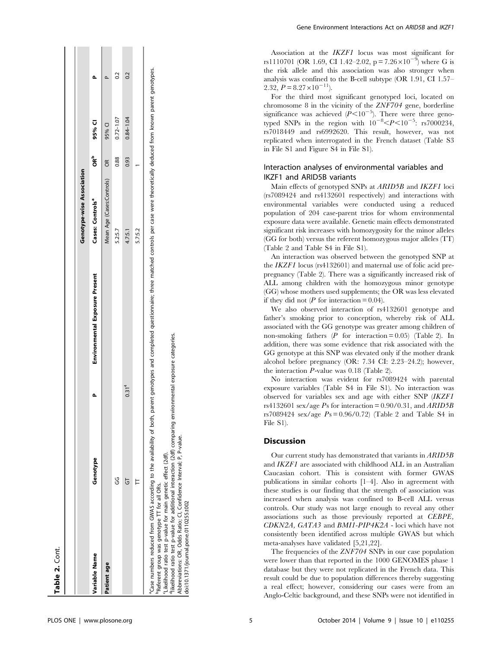| Table 2. Cont.                                                                                                                                                                                                                                                                                                                                                                                                                      |          |                   |                                                                                                                                       |                                  |          |               |                  |
|-------------------------------------------------------------------------------------------------------------------------------------------------------------------------------------------------------------------------------------------------------------------------------------------------------------------------------------------------------------------------------------------------------------------------------------|----------|-------------------|---------------------------------------------------------------------------------------------------------------------------------------|----------------------------------|----------|---------------|------------------|
|                                                                                                                                                                                                                                                                                                                                                                                                                                     |          |                   |                                                                                                                                       |                                  |          |               |                  |
|                                                                                                                                                                                                                                                                                                                                                                                                                                     |          |                   |                                                                                                                                       | <b>Genotype-wise Association</b> |          |               |                  |
| Variable Name                                                                                                                                                                                                                                                                                                                                                                                                                       | Genotype |                   | Environmental Exposure Present                                                                                                        | Cases: Controls <sup>ª</sup>     | ទំ<br>ទី | 95% CI        |                  |
| Patient age                                                                                                                                                                                                                                                                                                                                                                                                                         |          |                   |                                                                                                                                       | Mean Age (Cases:Controls)        | E        | 95% CI        |                  |
|                                                                                                                                                                                                                                                                                                                                                                                                                                     | ပ္ပ      |                   |                                                                                                                                       | 5.2:5.7                          | 0.88     | $0.72 - 1.07$ | $\overline{0.2}$ |
|                                                                                                                                                                                                                                                                                                                                                                                                                                     | 5        | 0.31 <sup>4</sup> |                                                                                                                                       | 4.7:5.1                          | 0.93     | $0.84 - 1.04$ | 0.2              |
|                                                                                                                                                                                                                                                                                                                                                                                                                                     |          |                   |                                                                                                                                       | 5.75.2                           |          |               |                  |
| <sup>e</sup> likelihood ratio test p-value for additional interaction (2df) comparing environmental exposure categories.<br>'Case numbers reduced from GWAS according to the availability of both,<br>Abbreviations: OR, Odds Ratio; CI, Confidence Interval; P, P-value.<br>'Likelihood ratio test p-value for main genetic effect (2df).<br>PReferent group was genotype TT for all ORs.<br>doi:10.1371/journal.pone.0110255.t002 |          |                   | parent genotypes and completed questionnaire; three matched controls per case were theoretically deduced from known parent genotypes. |                                  |          |               |                  |

Gene Environment Interactions Act on ARID5B and IKZF1

Association at the IKZF1 locus was most significant for rs1110701 (OR 1.69, CI 1.42–2.02,  $p = 7.26 \times 10^{-9}$ ) where G is the risk allele and this association was also stronger when analysis was confined to the B-cell subtype (OR 1.91, CI 1.57– 2.32,  $P = 8.27 \times 10^{-11}$ .

For the third most significant genotyped loci, located on chromosome 8 in the vicinity of the ZNF704 gene, borderline significance was achieved  $(P<10^{-5})$ . There were three genotyped SNPs in the region with  $10^{-8} *P* < 10^{-5}$ : rs7000234, rs7018449 and rs6992620. This result, however, was not replicated when interrogated in the French dataset (Table S3 in File S1 and Figure S4 in File S1).

# Interaction analyses of environmental variables and IKZF1 and ARID5B variants

Main effects of genotyped SNPs at ARID5B and IKZF1 loci (rs7089424 and rs4132601 respectively) and interactions with environmental variables were conducted using a reduced population of 204 case-parent trios for whom environmental exposure data were available. Genetic main effects demonstrated significant risk increases with homozygosity for the minor alleles (GG for both) versus the referent homozygous major alleles (TT) (Table 2 and Table S4 in File S1).

An interaction was observed between the genotyped SNP at the IKZF1 locus (rs4132601) and maternal use of folic acid prepregnancy (Table 2). There was a significantly increased risk of ALL among children with the homozygous minor genotype (GG) whose mothers used supplements; the OR was less elevated if they did not  $(P \text{ for interaction} = 0.04)$ .

We also observed interaction of rs4132601 genotype and father's smoking prior to conception, whereby risk of ALL associated with the GG genotype was greater among children of non-smoking fathers ( $P$  for interaction = 0.05) (Table 2). In addition, there was some evidence that risk associated with the GG genotype at this SNP was elevated only if the mother drank alcohol before pregnancy (OR: 7.34 CI: 2.23–24.2); however, the interaction P-value was 0.18 (Table 2).

No interaction was evident for rs7089424 with parental exposure variables (Table S4 in File S1). No interaction was observed for variables sex and age with either SNP (IKZF1 rs4132601 sex/age  $P_s$  for interaction = 0.90/0.31, and  $ARID5B$ rs7089424 sex/age  $Ps = 0.96/0.72$  (Table 2 and Table S4 in File S1).

# Discussion

Our current study has demonstrated that variants in ARID5B and IKZF1 are associated with childhood ALL in an Australian Caucasian cohort. This is consistent with former GWAS publications in similar cohorts [1–4]. Also in agreement with these studies is our finding that the strength of association was increased when analysis was confined to B-cell ALL versus controls. Our study was not large enough to reveal any other associations such as those previously reported at CEBPE, CDKN2A, GATA3 and BMI1-PIP4K2A - loci which have not consistently been identified across multiple GWAS but which meta-analyses have validated [5,21,22].

The frequencies of the ZNF704 SNPs in our case population were lower than that reported in the 1000 GENOMES phase 1 database but they were not replicated in the French data. This result could be due to population differences thereby suggesting a real effect; however, considering our cases were from an Anglo-Celtic background, and these SNPs were not identified in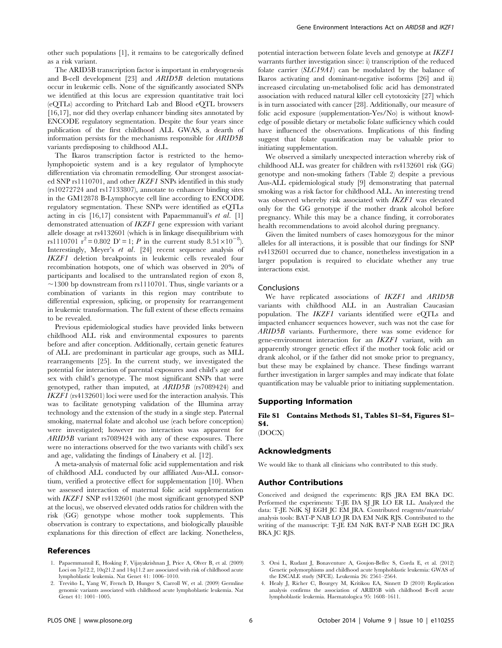The ARID5B transcription factor is important in embryogenesis and B-cell development [23] and ARID5B deletion mutations occur in leukemic cells. None of the significantly associated SNPs we identified at this locus are expression quantitative trait loci (eQTLs) according to Pritchard Lab and Blood eQTL browsers [16,17], nor did they overlap enhancer binding sites annotated by ENCODE regulatory segmentation. Despite the four years since publication of the first childhood ALL GWAS, a dearth of information persists for the mechanisms responsible for ARID5B variants predisposing to childhood ALL.

The Ikaros transcription factor is restricted to the hemolymphopoietic system and is a key regulator of lymphocyte differentiation via chromatin remodelling. Our strongest associated SNP rs1110701, and other IKZF1 SNPs identified in this study (rs10272724 and rs17133807), annotate to enhancer binding sites in the GM12878 B-Lymphocyte cell line according to ENCODE regulatory segmentation. These SNPs were identified as eQTLs acting in cis [16,17] consistent with Papaemmanuil's et al. [1] demonstrated attenuation of IKZF1 gene expression with variant allele dosage at rs4132601 (which is in linkage disequilibrium with rs1110701  $r^2 = 0.802$  D' = 1; P in the current study  $8.51 \times 10^{-8}$ ). Interestingly, Meyer's et al. [24] recent sequence analysis of IKZF1 deletion breakpoints in leukemic cells revealed four recombination hotspots, one of which was observed in 20% of participants and localised to the untranslated region of exon 8,  $\sim$ 1300 bp downstream from rs1110701. Thus, single variants or a combination of variants in this region may contribute to differential expression, splicing, or propensity for rearrangement in leukemic transformation. The full extent of these effects remains to be revealed.

Previous epidemiological studies have provided links between childhood ALL risk and environmental exposures to parents before and after conception. Additionally, certain genetic features of ALL are predominant in particular age groups, such as MLL rearrangements [25]. In the current study, we investigated the potential for interaction of parental exposures and child's age and sex with child's genotype. The most significant SNPs that were genotyped, rather than imputed, at ARID5B (rs7089424) and IKZF1 (rs4132601) loci were used for the interaction analysis. This was to facilitate genotyping validation of the Illumina array technology and the extension of the study in a single step. Paternal smoking, maternal folate and alcohol use (each before conception) were investigated; however no interaction was apparent for ARID5B variant rs7089424 with any of these exposures. There were no interactions observed for the two variants with child's sex and age, validating the findings of Linabery et al. [12].

A meta-analysis of maternal folic acid supplementation and risk of childhood ALL conducted by our affiliated Aus-ALL consortium, verified a protective effect for supplementation [10]. When we assessed interaction of maternal folic acid supplementation with *IKZF1* SNP rs4132601 (the most significant genotyped SNP at the locus), we observed elevated odds ratios for children with the risk (GG) genotype whose mother took supplements. This observation is contrary to expectations, and biologically plausible explanations for this direction of effect are lacking. Nonetheless,

### References

- 1. Papaemmanuil E, Hosking F, Vijayakrishnan J, Price A, Olver B, et al. (2009) Loci on 7p12.2, 10q21.2 and 14q11.2 are associated with risk of childhood acute lymphoblastic leukemia. Nat Genet 41: 1006–1010.
- 2. Treviño L, Yang W, French D, Hunger S, Carroll W, et al. (2009) Germline genomic variants associated with childhood acute lymphoblastic leukemia. Nat Genet 41: 1001–1005.

potential interaction between folate levels and genotype at IKZF1 warrants further investigation since: i) transcription of the reduced folate carrier (SLC19A1) can be modulated by the balance of Ikaros activating and dominant-negative isoforms [26] and ii) increased circulating un-metabolised folic acid has demonstrated association with reduced natural killer cell cytotoxicity [27] which is in turn associated with cancer [28]. Additionally, our measure of folic acid exposure (supplementation-Yes/No) is without knowledge of possible dietary or metabolic folate sufficiency which could have influenced the observations. Implications of this finding suggest that folate quantification may be valuable prior to initiating supplementation.

We observed a similarly unexpected interaction whereby risk of childhood ALL was greater for children with rs4132601 risk (GG) genotype and non-smoking fathers (Table 2) despite a previous Aus-ALL epidemiological study [9] demonstrating that paternal smoking was a risk factor for childhood ALL. An interesting trend was observed whereby risk associated with IKZF1 was elevated only for the GG genotype if the mother drank alcohol before pregnancy. While this may be a chance finding, it corroborates health recommendations to avoid alcohol during pregnancy.

Given the limited numbers of cases homozygous for the minor alleles for all interactions, it is possible that our findings for SNP rs4132601 occurred due to chance, nonetheless investigation in a larger population is required to elucidate whether any true interactions exist.

### Conclusions

We have replicated associations of IKZF1 and ARID5B variants with childhood ALL in an Australian Caucasian population. The IKZF1 variants identified were eQTLs and impacted enhancer sequences however, such was not the case for ARID5B variants. Furthermore, there was some evidence for gene-environment interaction for an IKZF1 variant, with an apparently stronger genetic effect if the mother took folic acid or drank alcohol, or if the father did not smoke prior to pregnancy, but these may be explained by chance. These findings warrant further investigation in larger samples and may indicate that folate quantification may be valuable prior to initiating supplementation.

## Supporting Information

# File S1 Contains Methods S1, Tables S1–S4, Figures S1– S4.

(DOCX)

# Acknowledgments

We would like to thank all clinicians who contributed to this study.

## Author Contributions

Conceived and designed the experiments: RJS JRA EM BKA DC. Performed the experiments: T-JE DA SJ JR LO ER LL. Analyzed the data: T-JE NdK SJ EGH JC EM JRA. Contributed reagents/materials/ analysis tools: BAT-P NAB LO JR DA EM NdK RJS. Contributed to the writing of the manuscript: T-JE EM NdK BAT-P NAB EGH DC JRA BKA JC RJS.

- 3. Orsi L, Rudant J, Bonaventure A, Goujon-Bellec S, Corda E, et al. (2012) Genetic polymorphisms and childhood acute lymphoblastic leukemia: GWAS of the ESCALE study (SFCE). Leukemia 26: 2561–2564.
- 4. Healy J, Richer C, Bourgey M, Kritikou EA, Sinnett D (2010) Replication analysis confirms the association of ARID5B with childhood B-cell acute lymphoblastic leukemia. Haematologica 95: 1608–1611.